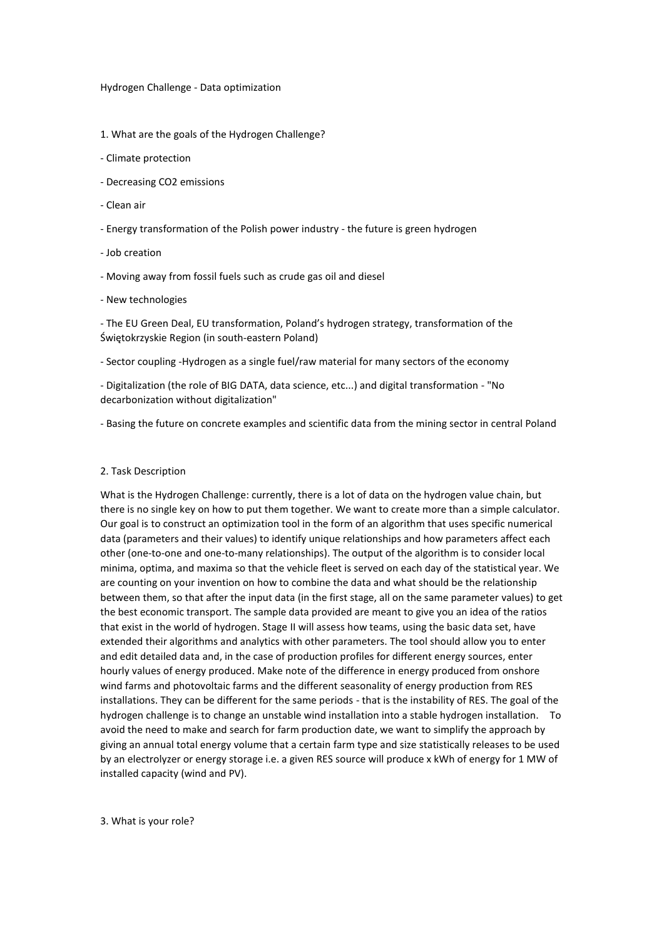#### Hydrogen Challenge - Data optimization

- 1. What are the goals of the Hydrogen Challenge?
- Climate protection
- Decreasing CO2 emissions
- Clean air
- Energy transformation of the Polish power industry the future is green hydrogen
- Job creation
- Moving away from fossil fuels such as crude gas oil and diesel
- New technologies

- The EU Green Deal, EU transformation, Poland's hydrogen strategy, transformation of the Świętokrzyskie Region (in south-eastern Poland)

- Sector coupling -Hydrogen as a single fuel/raw material for many sectors of the economy

- Digitalization (the role of BIG DATA, data science, etc...) and digital transformation - "No decarbonization without digitalization"

- Basing the future on concrete examples and scientific data from the mining sector in central Poland

#### 2. Task Description

What is the Hydrogen Challenge: currently, there is a lot of data on the hydrogen value chain, but there is no single key on how to put them together. We want to create more than a simple calculator. Our goal is to construct an optimization tool in the form of an algorithm that uses specific numerical data (parameters and their values) to identify unique relationships and how parameters affect each other (one-to-one and one-to-many relationships). The output of the algorithm is to consider local minima, optima, and maxima so that the vehicle fleet is served on each day of the statistical year. We are counting on your invention on how to combine the data and what should be the relationship between them, so that after the input data (in the first stage, all on the same parameter values) to get the best economic transport. The sample data provided are meant to give you an idea of the ratios that exist in the world of hydrogen. Stage II will assess how teams, using the basic data set, have extended their algorithms and analytics with other parameters. The tool should allow you to enter and edit detailed data and, in the case of production profiles for different energy sources, enter hourly values of energy produced. Make note of the difference in energy produced from onshore wind farms and photovoltaic farms and the different seasonality of energy production from RES installations. They can be different for the same periods - that is the instability of RES. The goal of the hydrogen challenge is to change an unstable wind installation into a stable hydrogen installation. To avoid the need to make and search for farm production date, we want to simplify the approach by giving an annual total energy volume that a certain farm type and size statistically releases to be used by an electrolyzer or energy storage i.e. a given RES source will produce x kWh of energy for 1 MW of installed capacity (wind and PV).

3. What is your role?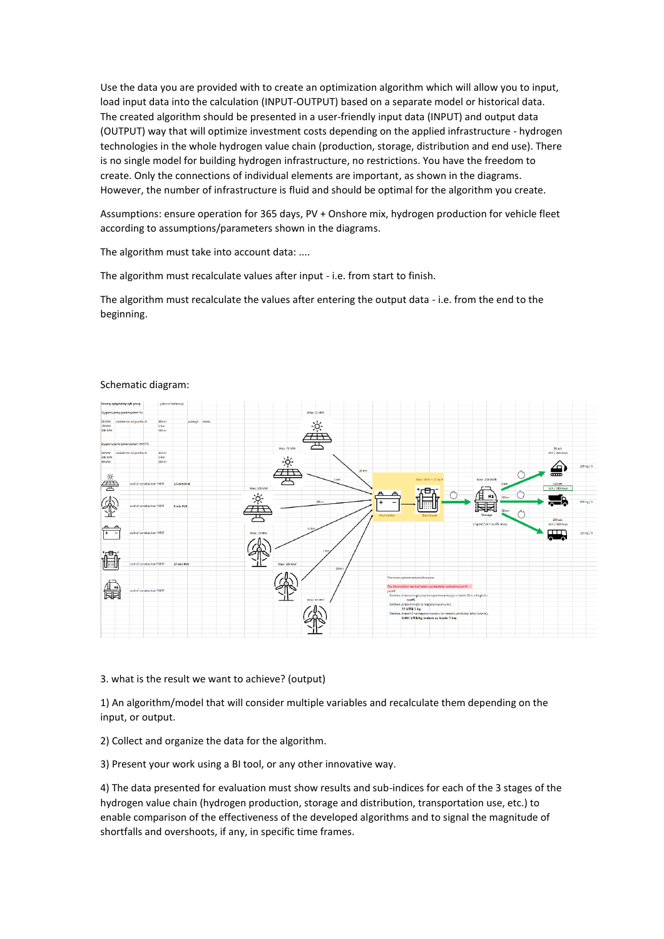Use the data you are provided with to create an optimization algorithm which will allow you to input, load input data into the calculation (INPUT-OUTPUT) based on a separate model or historical data. The created algorithm should be presented in a user-friendly input data (INPUT) and output data (OUTPUT) way that will optimize investment costs depending on the applied infrastructure - hydrogen technologies in the whole hydrogen value chain (production, storage, distribution and end use). There is no single model for building hydrogen infrastructure, no restrictions. You have the freedom to create. Only the connections of individual elements are important, as shown in the diagrams. However, the number of infrastructure is fluid and should be optimal for the algorithm you create.

Assumptions: ensure operation for 365 days, PV + Onshore mix, hydrogen production for vehicle fleet according to assumptions/parameters shown in the diagrams.

The algorithm must take into account data: ....

The algorithm must recalculate values after input - i.e. from start to finish.

The algorithm must recalculate the values after entering the output data - i.e. from the end to the beginning.



#### Schematic diagram:

#### 3. what is the result we want to achieve? (output)

1) An algorithm/model that will consider multiple variables and recalculate them depending on the input, or output.

2) Collect and organize the data for the algorithm.

3) Present your work using a BI tool, or any other innovative way.

4) The data presented for evaluation must show results and sub-indices for each of the 3 stages of the hydrogen value chain (hydrogen production, storage and distribution, transportation use, etc.) to enable comparison of the effectiveness of the developed algorithms and to signal the magnitude of shortfalls and overshoots, if any, in specific time frames.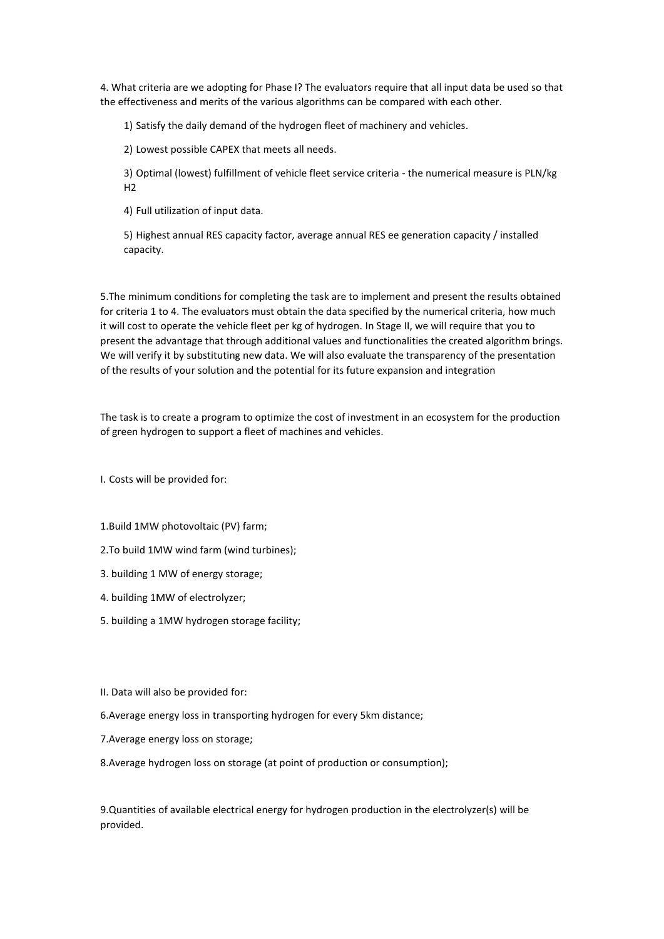4. What criteria are we adopting for Phase I? The evaluators require that all input data be used so that the effectiveness and merits of the various algorithms can be compared with each other.

1) Satisfy the daily demand of the hydrogen fleet of machinery and vehicles.

2) Lowest possible CAPEX that meets all needs.

3) Optimal (lowest) fulfillment of vehicle fleet service criteria - the numerical measure is PLN/kg H2

4) Full utilization of input data.

5) Highest annual RES capacity factor, average annual RES ee generation capacity / installed capacity.

5.The minimum conditions for completing the task are to implement and present the results obtained for criteria 1 to 4. The evaluators must obtain the data specified by the numerical criteria, how much it will cost to operate the vehicle fleet per kg of hydrogen. In Stage II, we will require that you to present the advantage that through additional values and functionalities the created algorithm brings. We will verify it by substituting new data. We will also evaluate the transparency of the presentation of the results of your solution and the potential for its future expansion and integration

The task is to create a program to optimize the cost of investment in an ecosystem for the production of green hydrogen to support a fleet of machines and vehicles.

I. Costs will be provided for:

1.Build 1MW photovoltaic (PV) farm;

2.To build 1MW wind farm (wind turbines);

3. building 1 MW of energy storage;

4. building 1MW of electrolyzer;

- 5. building a 1MW hydrogen storage facility;
- II. Data will also be provided for:
- 6.Average energy loss in transporting hydrogen for every 5km distance;
- 7.Average energy loss on storage;

8.Average hydrogen loss on storage (at point of production or consumption);

9.Quantities of available electrical energy for hydrogen production in the electrolyzer(s) will be provided.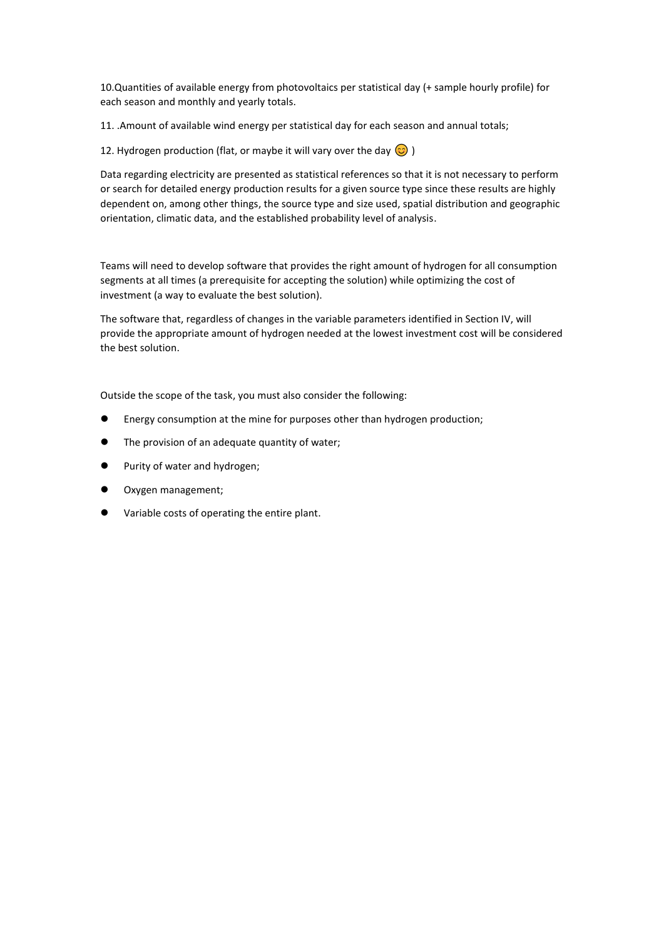10.Quantities of available energy from photovoltaics per statistical day (+ sample hourly profile) for each season and monthly and yearly totals.

11. .Amount of available wind energy per statistical day for each season and annual totals;

12. Hydrogen production (flat, or maybe it will vary over the day  $\bigodot$  )

Data regarding electricity are presented as statistical references so that it is not necessary to perform or search for detailed energy production results for a given source type since these results are highly dependent on, among other things, the source type and size used, spatial distribution and geographic orientation, climatic data, and the established probability level of analysis.

Teams will need to develop software that provides the right amount of hydrogen for all consumption segments at all times (a prerequisite for accepting the solution) while optimizing the cost of investment (a way to evaluate the best solution).

The software that, regardless of changes in the variable parameters identified in Section IV, will provide the appropriate amount of hydrogen needed at the lowest investment cost will be considered the best solution.

Outside the scope of the task, you must also consider the following:

- Energy consumption at the mine for purposes other than hydrogen production;
- ⚫ The provision of an adequate quantity of water;
- ⚫ Purity of water and hydrogen;
- ⚫ Oxygen management;
- ⚫ Variable costs of operating the entire plant.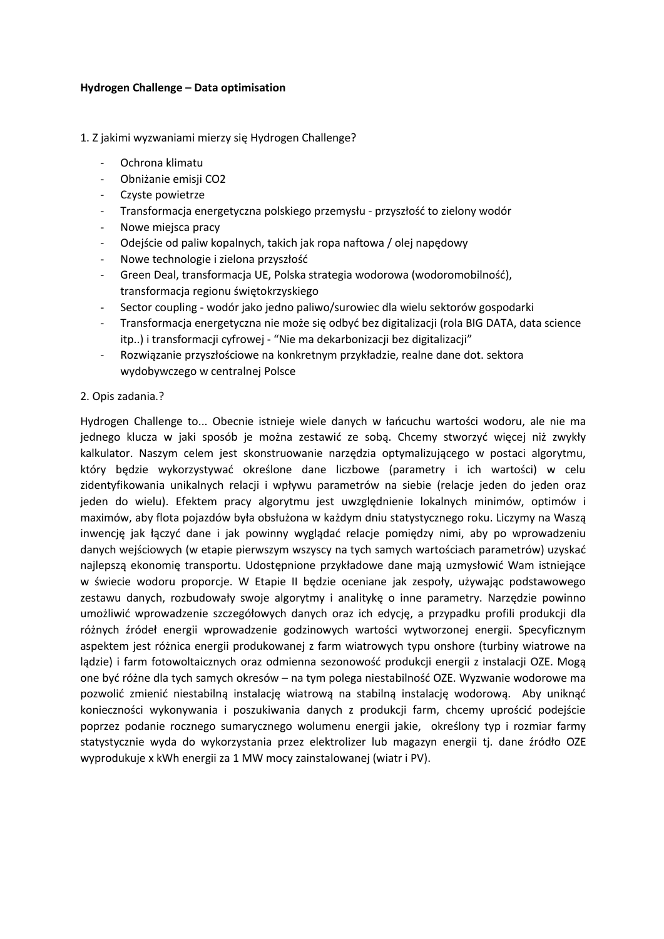## **Hydrogen Challenge – Data optimisation**

## 1. Z jakimi wyzwaniami mierzy się Hydrogen Challenge?

- Ochrona klimatu
- Obniżanie emisji CO2
- Czyste powietrze
- Transformacja energetyczna polskiego przemysłu przyszłość to zielony wodór
- Nowe miejsca pracy
- Odejście od paliw kopalnych, takich jakropa naftowa / olej napędowy
- Nowe technologie i zielona przyszłość
- Green Deal, transformacja UE, Polska strategia wodorowa (wodoromobilność), transformacja regionu świętokrzyskiego
- Sector coupling wodór jako jedno paliwo/surowiec dla wielu sektorów gospodarki
- Transformacja energetyczna nie może się odbyć bez digitalizacji (rola BIG DATA, data science itp..) i transformacji cyfrowej - "Nie ma dekarbonizacji bez digitalizacji"
- Rozwiązanie przyszłościowe na konkretnym przykładzie, realne dane dot. sektora wydobywczego w centralnej Polsce

# 2. Opis zadania.?

Hydrogen Challenge to... Obecnie istnieje wiele danych w łańcuchu wartości wodoru, ale nie ma jednego klucza w jaki sposób je można zestawić ze sobą. Chcemy stworzyć więcej niż zwykły kalkulator. Naszym celem jest skonstruowanie narzędzia optymalizującego w postaci algorytmu, który będzie wykorzystywać określone dane liczbowe (parametry i ich wartości) w celu zidentyfikowania unikalnych relacii i wpływu parametrów na siebie (relacie jeden do jeden oraz jeden do wielu). Efektem pracy algorytmu jest uwzględnienie lokalnych minimów, optimów i maximów, aby flota pojazdów była obsłużona w każdym dniu statystycznego roku. Liczymy na Waszą inwencję jak łączyć dane i jak powinny wyglądać relacje pomiędzy nimi, aby po wprowadzeniu danych wejściowych (w etapie pierwszym wszyscy na tych samych wartościach parametrów) uzyskać najlepszą ekonomię transportu. Udostępnione przykładowe dane mają uzmysłowić Wam istniejące w świecie wodoru proporcje. W Etapie II będzie oceniane jak zespoły, używając podstawowego zestawu danych, rozbudowały swoje algorytmy i analitykę o inne parametry. Narzędzie powinno umożliwić wprowadzenie szczegółowych danych oraz ich edycję, a przypadku profili produkcji dla różnych źródeł energii wprowadzenie godzinowych wartości wytworzonej energii. Specyficznym aspektem jest różnica energii produkowanej z farm wiatrowych typu onshore (turbiny wiatrowe na lądzie) i farm fotowoltaicznych oraz odmienna sezonowość produkcji energii z instalacji OZE. Mogą one być różne dla tych samych okresów – na tym polega niestabilność OZE. Wyzwanie wodorowe ma pozwolić zmienić niestabilną instalację wiatrową na stabilną instalację wodorową. Aby uniknąć konieczności wykonywania i poszukiwania danych z produkcji farm, chcemy uprościć podejście poprzez podanie rocznego sumarycznego wolumenu energii jakie, określony typ i rozmiar farmy statystycznie wyda do wykorzystania przez elektrolizer lub magazyn energii tj. dane źródło OZE wyprodukuje x kWh energii za 1 MW mocy zainstalowanej (wiatr i PV).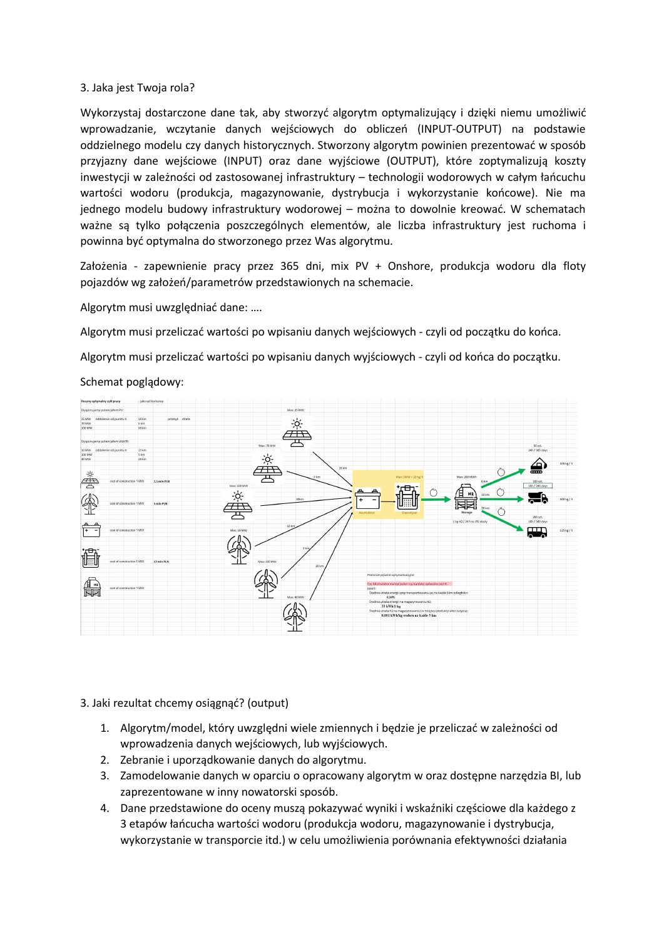### 3. Jaka jest Twoja rola?

Wykorzystaj dostarczone dane tak, aby stworzyć algorytm optymalizujący i dzięki niemu umożliwić wprowadzanie, wczytanie danych wejściowych do obliczeń (INPUT-OUTPUT) na podstawie oddzielnego modelu czy danych historycznych. Stworzony algorytm powinien prezentować w sposób przyjazny dane wejściowe (INPUT) oraz dane wyjściowe (OUTPUT), które zoptymalizują koszty inwestycji w zależności od zastosowanej infrastruktury – technologii wodorowych w całym łańcuchu wartości wodoru (produkcja, magazynowanie, dystrybucja i wykorzystanie końcowe). Nie ma jednego modelu budowy infrastruktury wodorowej – można to dowolnie kreować. W schematach ważne są tylko połączenia poszczególnych elementów, ale liczba infrastruktury jest ruchoma i powinna być optymalna do stworzonego przez Was algorytmu.

Założenia - zapewnienie pracy przez 365 dni, mix PV + Onshore, produkcja wodoru dla floty pojazdów wg założeń/parametrów przedstawionych na schemacie.

Algorytm musi uwzględniać dane: ….

Algorytm musi przeliczać wartościpo wpisaniu danych wejściowych - czyli od początku do końca.

Algorytm musi przeliczać wartościpo wpisaniu danych wyjściowych - czyli od końca do początku.



### Schemat poglądowy:

## 3. Jaki rezultat chcemy osiągnąć? (output)

- 1. Algorytm/model, który uwzględni wiele zmiennych i będzie je przeliczać w zależności od wprowadzenia danych wejściowych, lub wyjściowych.
- 2. Zebranie i uporządkowanie danych do algorytmu.
- 3. Zamodelowanie danych w oparciu o opracowany algorytm w oraz dostępne narzędzia BI, lub zaprezentowane w inny nowatorski sposób.
- 4. Dane przedstawione do oceny muszą pokazywać wyniki i wskaźniki częściowe dla każdego z 3 etapów łańcucha wartości wodoru (produkcja wodoru, magazynowanie i dystrybucja, wykorzystanie w transporcie itd.) w celu umożliwienia porównania efektywności działania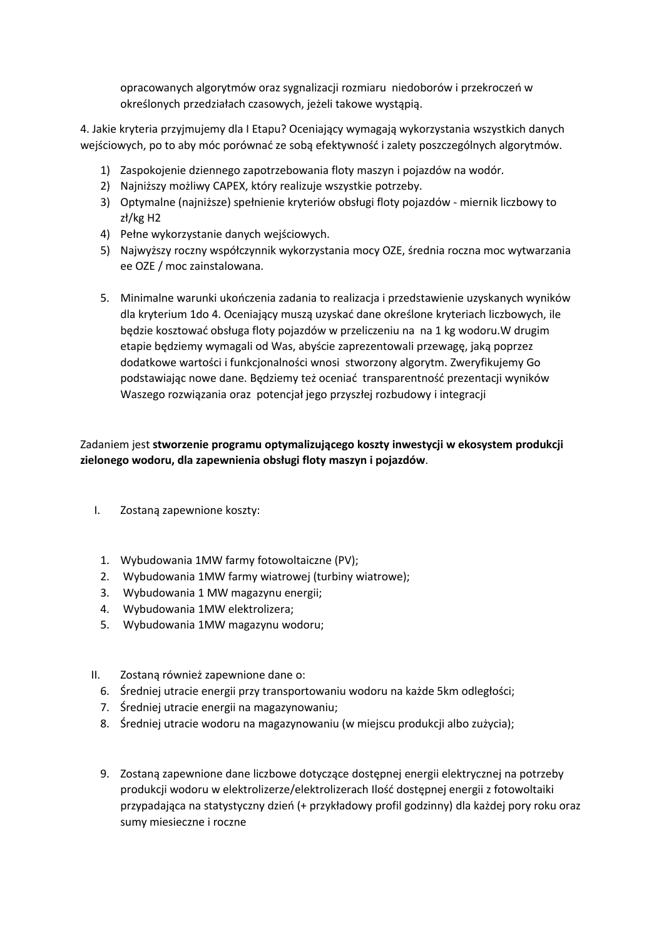opracowanych algorytmów oraz sygnalizacji rozmiaru niedoborów i przekroczeń w określonych przedziałach czasowych, jeżeli takowe wystąpią.

4. Jakie kryteria przyjmujemy dla I Etapu? Oceniający wymagają wykorzystania wszystkich danych wejściowych, po to aby móc porównać ze sobą efektywność i zalety poszczególnych algorytmów.

- 1) Zaspokojenie dziennego zapotrzebowania floty maszyn i pojazdów na wodór.
- 2) Najniższy możliwy CAPEX, który realizuje wszystkie potrzeby.
- 3) Optymalne (najniższe) spełnienie kryteriów obsługi floty pojazdów miernik liczbowy to zł/kg H2
- 4) Pełne wykorzystanie danych wejściowych.
- 5) Najwyższy roczny współczynnik wykorzystania mocy OZE, średnia roczna moc wytwarzania ee OZE / moc zainstalowana.
- 5. Minimalne warunki ukończenia zadania to realizacja i przedstawienie uzyskanych wyników dla kryterium 1do 4. Oceniający muszą uzyskać dane określone kryteriach liczbowych, ile będzie kosztować obsługa floty pojazdów w przeliczeniu na na 1 kg wodoru.W drugim etapie będziemy wymagali od Was, abyście zaprezentowali przewagę, jaką poprzez dodatkowe wartości i funkcjonalności wnosi stworzony algorytm. Zweryfikujemy Go podstawiając nowe dane. Będziemy też oceniać transparentność prezentacji wyników Waszego rozwiązania oraz potencjał jego przyszłej rozbudowy i integracji

Zadaniem jest **stworzenie programu optymalizującego koszty inwestycjiw ekosystem produkcji zielonego wodoru, dla zapewnienia obsługi floty maszyn i pojazdów**.

- I. Zostaną zapewnione koszty:
	- 1. Wybudowania 1MW farmy fotowoltaiczne (PV);
	- 2. Wybudowania 1MW farmy wiatrowej (turbiny wiatrowe);
	- 3. Wybudowania 1 MW magazynu energii;
- 4. Wybudowania 1MW elektrolizera;
- 5. Wybudowania 1MW magazynu wodoru;
- II. Zostaną również zapewnione dane o:
	- 6. Średniej utracie energii przy transportowaniu wodoru na każde 5km odległości;
	- 7. Średniej utracie energii na magazynowaniu;
	- 8. Średniej utracie wodoru na magazynowaniu (w miejscu produkcji albo zużycia);
	- 9. Zostaną zapewnione dane liczbowe dotyczące dostępnej energii elektrycznej na potrzeby produkcji wodoru w elektrolizerze/elektrolizerach Ilość dostępnej energii z fotowoltaiki przypadająca na statystyczny dzień (+ przykładowy profil godzinny) dla każdej pory roku oraz sumy miesieczne i roczne